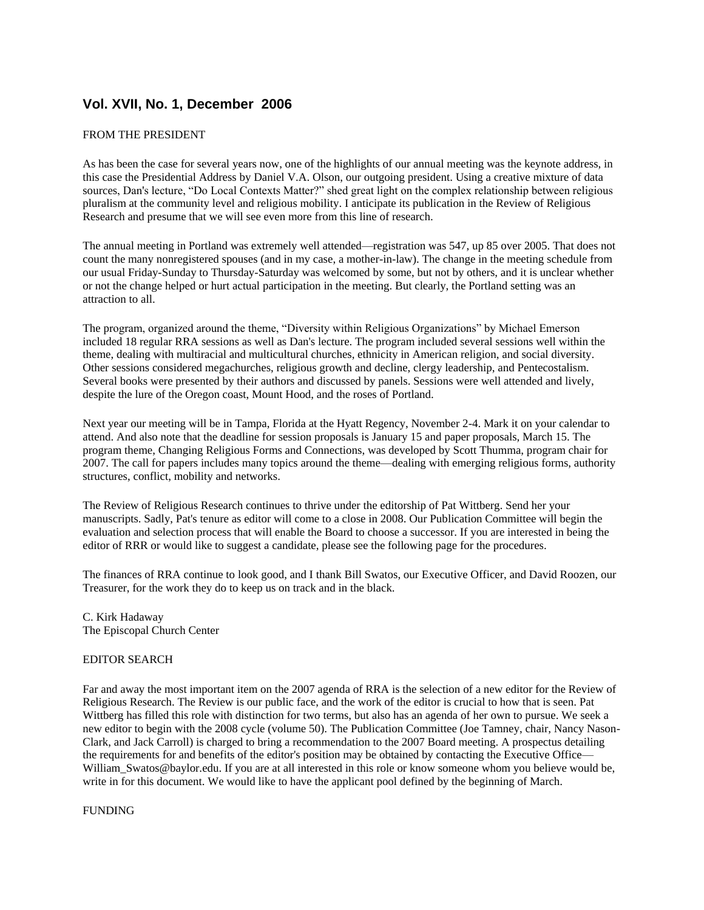# **Vol. XVII, No. 1, December 2006**

# FROM THE PRESIDENT

As has been the case for several years now, one of the highlights of our annual meeting was the keynote address, in this case the Presidential Address by Daniel V.A. Olson, our outgoing president. Using a creative mixture of data sources, Dan's lecture, "Do Local Contexts Matter?" shed great light on the complex relationship between religious pluralism at the community level and religious mobility. I anticipate its publication in the Review of Religious Research and presume that we will see even more from this line of research.

The annual meeting in Portland was extremely well attended—registration was 547, up 85 over 2005. That does not count the many nonregistered spouses (and in my case, a mother-in-law). The change in the meeting schedule from our usual Friday-Sunday to Thursday-Saturday was welcomed by some, but not by others, and it is unclear whether or not the change helped or hurt actual participation in the meeting. But clearly, the Portland setting was an attraction to all.

The program, organized around the theme, "Diversity within Religious Organizations" by Michael Emerson included 18 regular RRA sessions as well as Dan's lecture. The program included several sessions well within the theme, dealing with multiracial and multicultural churches, ethnicity in American religion, and social diversity. Other sessions considered megachurches, religious growth and decline, clergy leadership, and Pentecostalism. Several books were presented by their authors and discussed by panels. Sessions were well attended and lively, despite the lure of the Oregon coast, Mount Hood, and the roses of Portland.

Next year our meeting will be in Tampa, Florida at the Hyatt Regency, November 2-4. Mark it on your calendar to attend. And also note that the deadline for session proposals is January 15 and paper proposals, March 15. The program theme, Changing Religious Forms and Connections, was developed by Scott Thumma, program chair for 2007. The call for papers includes many topics around the theme—dealing with emerging religious forms, authority structures, conflict, mobility and networks.

The Review of Religious Research continues to thrive under the editorship of Pat Wittberg. Send her your manuscripts. Sadly, Pat's tenure as editor will come to a close in 2008. Our Publication Committee will begin the evaluation and selection process that will enable the Board to choose a successor. If you are interested in being the editor of RRR or would like to suggest a candidate, please see the following page for the procedures.

The finances of RRA continue to look good, and I thank Bill Swatos, our Executive Officer, and David Roozen, our Treasurer, for the work they do to keep us on track and in the black.

C. Kirk Hadaway The Episcopal Church Center

#### EDITOR SEARCH

Far and away the most important item on the 2007 agenda of RRA is the selection of a new editor for the Review of Religious Research. The Review is our public face, and the work of the editor is crucial to how that is seen. Pat Wittberg has filled this role with distinction for two terms, but also has an agenda of her own to pursue. We seek a new editor to begin with the 2008 cycle (volume 50). The Publication Committee (Joe Tamney, chair, Nancy Nason-Clark, and Jack Carroll) is charged to bring a recommendation to the 2007 Board meeting. A prospectus detailing the requirements for and benefits of the editor's position may be obtained by contacting the Executive Office— William Swatos@baylor.edu. If you are at all interested in this role or know someone whom you believe would be, write in for this document. We would like to have the applicant pool defined by the beginning of March.

#### FUNDING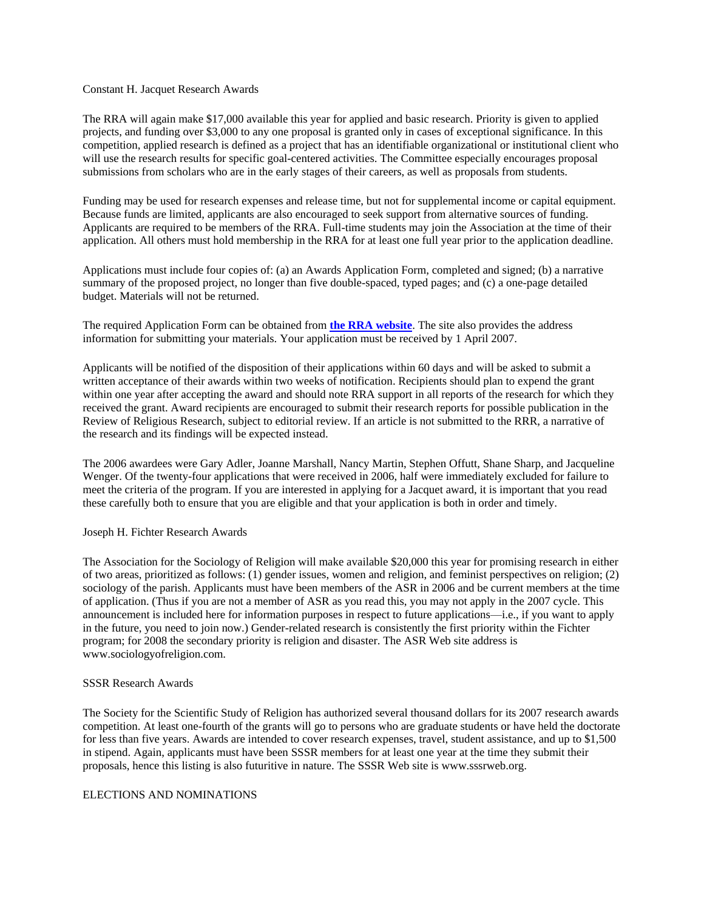#### Constant H. Jacquet Research Awards

The RRA will again make \$17,000 available this year for applied and basic research. Priority is given to applied projects, and funding over \$3,000 to any one proposal is granted only in cases of exceptional significance. In this competition, applied research is defined as a project that has an identifiable organizational or institutional client who will use the research results for specific goal-centered activities. The Committee especially encourages proposal submissions from scholars who are in the early stages of their careers, as well as proposals from students.

Funding may be used for research expenses and release time, but not for supplemental income or capital equipment. Because funds are limited, applicants are also encouraged to seek support from alternative sources of funding. Applicants are required to be members of the RRA. Full-time students may join the Association at the time of their application. All others must hold membership in the RRA for at least one full year prior to the application deadline.

Applications must include four copies of: (a) an Awards Application Form, completed and signed; (b) a narrative summary of the proposed project, no longer than five double-spaced, typed pages; and (c) a one-page detailed budget. Materials will not be returned.

The required Application Form can be obtained from **[the RRA website](http://rra.hartsem.edu/constant.htm)**. The site also provides the address information for submitting your materials. Your application must be received by 1 April 2007.

Applicants will be notified of the disposition of their applications within 60 days and will be asked to submit a written acceptance of their awards within two weeks of notification. Recipients should plan to expend the grant within one year after accepting the award and should note RRA support in all reports of the research for which they received the grant. Award recipients are encouraged to submit their research reports for possible publication in the Review of Religious Research, subject to editorial review. If an article is not submitted to the RRR, a narrative of the research and its findings will be expected instead.

The 2006 awardees were Gary Adler, Joanne Marshall, Nancy Martin, Stephen Offutt, Shane Sharp, and Jacqueline Wenger. Of the twenty-four applications that were received in 2006, half were immediately excluded for failure to meet the criteria of the program. If you are interested in applying for a Jacquet award, it is important that you read these carefully both to ensure that you are eligible and that your application is both in order and timely.

#### Joseph H. Fichter Research Awards

The Association for the Sociology of Religion will make available \$20,000 this year for promising research in either of two areas, prioritized as follows: (1) gender issues, women and religion, and feminist perspectives on religion; (2) sociology of the parish. Applicants must have been members of the ASR in 2006 and be current members at the time of application. (Thus if you are not a member of ASR as you read this, you may not apply in the 2007 cycle. This announcement is included here for information purposes in respect to future applications—i.e., if you want to apply in the future, you need to join now.) Gender-related research is consistently the first priority within the Fichter program; for 2008 the secondary priority is religion and disaster. The ASR Web site address is www.sociologyofreligion.com.

## SSSR Research Awards

The Society for the Scientific Study of Religion has authorized several thousand dollars for its 2007 research awards competition. At least one-fourth of the grants will go to persons who are graduate students or have held the doctorate for less than five years. Awards are intended to cover research expenses, travel, student assistance, and up to \$1,500 in stipend. Again, applicants must have been SSSR members for at least one year at the time they submit their proposals, hence this listing is also futuritive in nature. The SSSR Web site is www.sssrweb.org.

## ELECTIONS AND NOMINATIONS